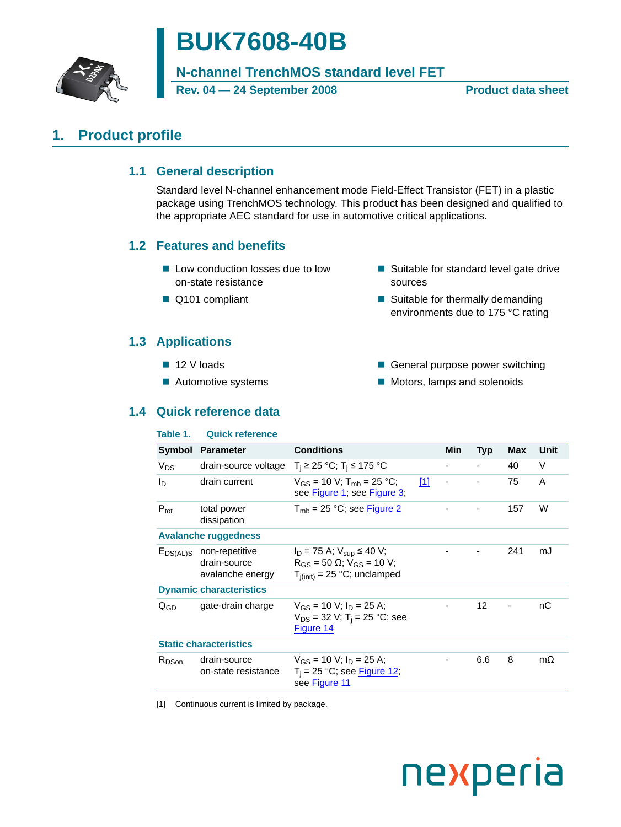

# **BUK7608-40B**

**N-channel TrenchMOS standard level FET**

**Rev. 04 — 24 September 2008 Product data sheet**

# <span id="page-0-2"></span><span id="page-0-1"></span>**1. Product profile**

# **1.1 General description**

Standard level N-channel enhancement mode Field-Effect Transistor (FET) in a plastic package using TrenchMOS technology. This product has been designed and qualified to the appropriate AEC standard for use in automotive critical applications.

# <span id="page-0-3"></span>**1.2 Features and benefits**

- Low conduction losses due to low on-state resistance
- Q101 compliant
- Suitable for standard level gate drive sources
- Suitable for thermally demanding environments due to 175 °C rating

# <span id="page-0-4"></span>**1.3 Applications**

- $12$  V loads
- **Automotive systems**
- General purpose power switching
- **Motors, lamps and solenoids**

# <span id="page-0-5"></span>**1.4 Quick reference data**

### **Table 1. Quick reference**

| Symbol            | <b>Parameter</b>                                                 | <b>Conditions</b>                                                                                                |     | Min                      | <b>Typ</b> | <b>Max</b> | Unit      |
|-------------------|------------------------------------------------------------------|------------------------------------------------------------------------------------------------------------------|-----|--------------------------|------------|------------|-----------|
| $V_{DS}$          | drain-source voltage                                             | $T_i$ ≥ 25 °C; T <sub>i</sub> ≤ 175 °C                                                                           |     | $\overline{\phantom{a}}$ |            | 40         | V         |
| In                | drain current                                                    | $V_{GS}$ = 10 V; T <sub>mb</sub> = 25 °C;<br>see Figure 1; see Figure 3;                                         | [1] | -                        |            | 75         | A         |
| $P_{\text{tot}}$  | total power<br>dissipation                                       | $T_{\rm mb}$ = 25 °C; see Figure 2                                                                               |     |                          |            | 157        | W         |
|                   | <b>Avalanche ruggedness</b>                                      |                                                                                                                  |     |                          |            |            |           |
|                   | $E_{DS(AL)S}$ non-repetitive<br>drain-source<br>avalanche energy | $I_D$ = 75 A; $V_{sub}$ ≤ 40 V;<br>$R_{GS}$ = 50 $\Omega$ ; $V_{GS}$ = 10 V;<br>$T_{i(init)} = 25$ °C; unclamped |     |                          |            | 241        | mJ        |
|                   | <b>Dynamic characteristics</b>                                   |                                                                                                                  |     |                          |            |            |           |
| $Q_{GD}$          | gate-drain charge                                                | $V_{GS}$ = 10 V; $I_D$ = 25 A;<br>$V_{DS}$ = 32 V; T <sub>i</sub> = 25 °C; see<br>Figure 14                      |     |                          | 12         |            | nC        |
|                   | <b>Static characteristics</b>                                    |                                                                                                                  |     |                          |            |            |           |
| R <sub>DSon</sub> | drain-source<br>on-state resistance                              | $V_{GS}$ = 10 V; $I_D$ = 25 A;<br>$T_i$ = 25 °C; see Figure 12;<br>see Figure 11                                 |     |                          | 6.6        | 8          | $m\Omega$ |

<span id="page-0-0"></span>[1] Continuous current is limited by package.

# nexperia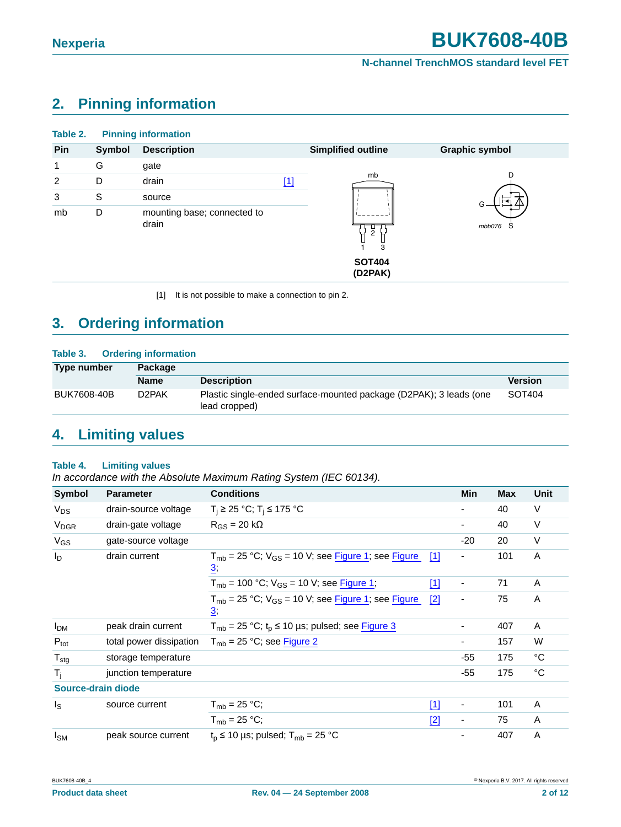# <span id="page-1-1"></span>**2. Pinning information**

| Table 2. |        | <b>Pinning information</b>           |       |                                                 |                       |
|----------|--------|--------------------------------------|-------|-------------------------------------------------|-----------------------|
| Pin      | Symbol | <b>Description</b>                   |       | <b>Simplified outline</b>                       | <b>Graphic symbol</b> |
| 1        | G      | gate                                 |       |                                                 |                       |
| 2        | D      | drain                                | $[1]$ | mb                                              |                       |
| 3        | S      | source                               |       |                                                 | G                     |
| mb       | D      | mounting base; connected to<br>drain |       | $\overline{c}$<br>3<br><b>SOT404</b><br>(D2PAK) | mbb076<br>`S          |

<span id="page-1-0"></span>[1] It is not possible to make a connection to pin 2.

# <span id="page-1-2"></span>**3. Ordering information**

### **Table 3. Ordering information**

| Type number | Package            |                                                                                     |                |  |  |
|-------------|--------------------|-------------------------------------------------------------------------------------|----------------|--|--|
|             | <b>Name</b>        | <b>Description</b>                                                                  | <b>Version</b> |  |  |
| BUK7608-40B | D <sub>2</sub> PAK | Plastic single-ended surface-mounted package (D2PAK); 3 leads (one<br>lead cropped) | SOT404         |  |  |

# <span id="page-1-3"></span>**4. Limiting values**

### **Table 4. Limiting values**

*In accordance with the Absolute Maximum Rating System (IEC 60134).*

| Symbol                  | <b>Parameter</b>        | <b>Conditions</b>                                                             |       | Min                      | <b>Max</b> | Unit        |
|-------------------------|-------------------------|-------------------------------------------------------------------------------|-------|--------------------------|------------|-------------|
| $V_{DS}$                | drain-source voltage    | $T_i$ ≥ 25 °C; T <sub>i</sub> ≤ 175 °C                                        |       |                          | 40         | $\vee$      |
| <b>V<sub>DGR</sub></b>  | drain-gate voltage      | $R_{GS}$ = 20 k $\Omega$                                                      |       |                          | 40         | $\vee$      |
| $V_{GS}$                | gate-source voltage     |                                                                               |       | $-20$                    | 20         | V           |
| $I_{\text{D}}$          | drain current           | $T_{mb}$ = 25 °C; $V_{GS}$ = 10 V; see Figure 1; see Figure<br>$\overline{3}$ | [1]   | $\overline{\phantom{0}}$ | 101        | A           |
|                         |                         | $T_{\rm mb}$ = 100 °C; $V_{\rm GS}$ = 10 V; see Figure 1;                     | $[1]$ | $\overline{\phantom{a}}$ | 71         | A           |
|                         |                         | $T_{mb}$ = 25 °C; $V_{GS}$ = 10 V; see Figure 1; see Figure<br>$\overline{3}$ | $[2]$ |                          | 75         | A           |
| <b>I<sub>DM</sub></b>   | peak drain current      | $T_{mb}$ = 25 °C; $t_p$ ≤ 10 µs; pulsed; see Figure 3                         |       |                          | 407        | A           |
| $P_{\text{tot}}$        | total power dissipation | $T_{mb}$ = 25 °C; see Figure 2                                                |       |                          | 157        | W           |
| $T_{\text{stg}}$        | storage temperature     |                                                                               |       | $-55$                    | 175        | °C          |
| $T_i$                   | junction temperature    |                                                                               |       | $-55$                    | 175        | $^{\circ}C$ |
| Source-drain diode      |                         |                                                                               |       |                          |            |             |
| $\mathsf{I}_\mathsf{S}$ | source current          | $T_{\rm mb}$ = 25 °C;                                                         | $[1]$ | $\overline{\phantom{a}}$ | 101        | A           |
|                         |                         | $T_{mb} = 25 °C$ ;                                                            | $[2]$ | $\overline{\phantom{a}}$ | 75         | A           |
| $I_{SM}$                | peak source current     | $t_{p} \le 10$ µs; pulsed; $T_{mb} = 25$ °C                                   |       |                          | 407        | A           |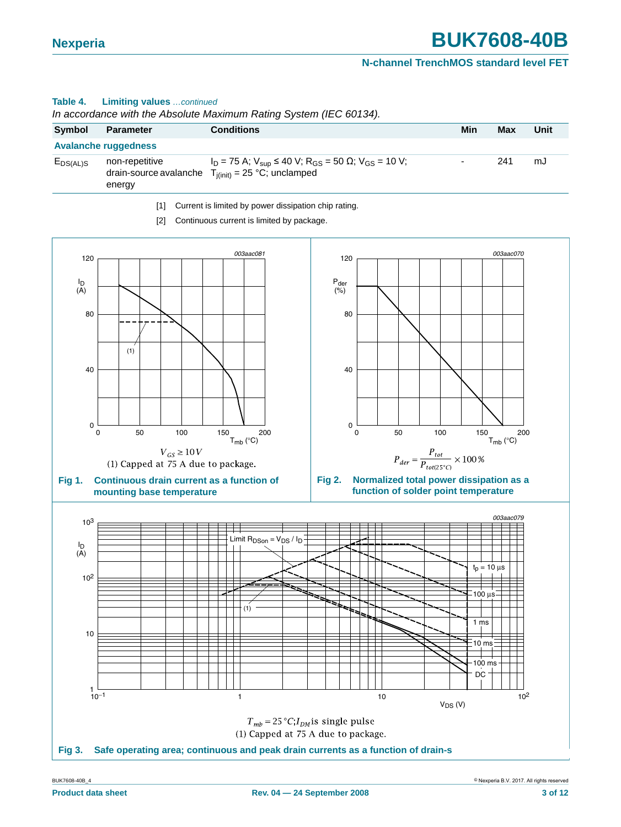### **Table 4. Limiting values** *…continued*

*In accordance with the Absolute Maximum Rating System (IEC 60134).*

| Symbol        | Parameter                   | <b>Conditions</b>                                                                                                                                           | Min                      | Max | Unit |
|---------------|-----------------------------|-------------------------------------------------------------------------------------------------------------------------------------------------------------|--------------------------|-----|------|
|               | <b>Avalanche ruggedness</b> |                                                                                                                                                             |                          |     |      |
| $E_{DS(AL)S}$ | non-repetitive<br>energy    | $I_D = 75$ A; $V_{\text{sup}} \le 40$ V; R <sub>GS</sub> = 50 $\Omega$ ; V <sub>GS</sub> = 10 V;<br>drain-source avalanche $T_{i(init)} = 25$ °C; unclamped | $\overline{\phantom{0}}$ | 241 | mJ   |
|               |                             |                                                                                                                                                             |                          |     |      |

<span id="page-2-3"></span>[1] Current is limited by power dissipation chip rating.

<span id="page-2-4"></span><span id="page-2-2"></span>[2] Continuous current is limited by package.

<span id="page-2-1"></span><span id="page-2-0"></span>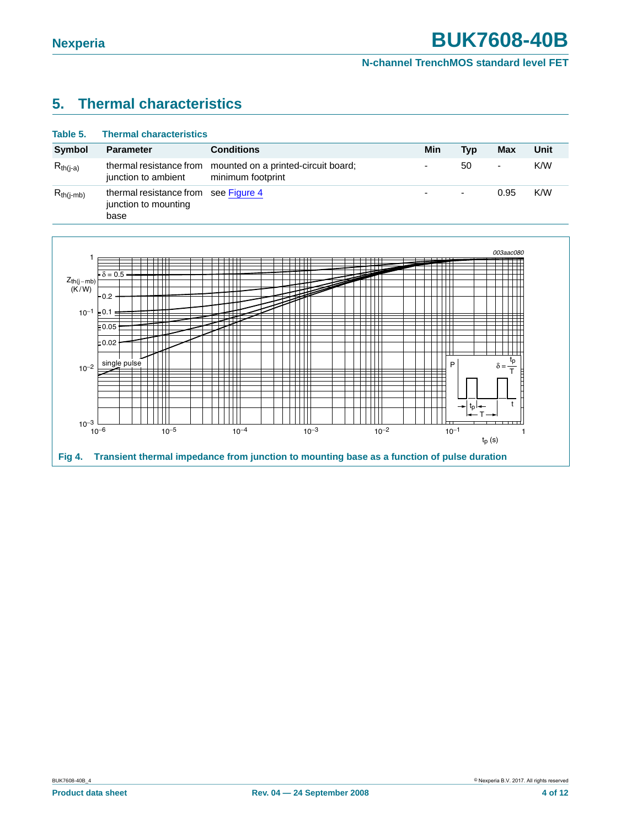# <span id="page-3-1"></span>**5. Thermal characteristics**

| Table 5.       | <b>Thermal characteristics</b>                                       |                                                          |     |                          |                          |      |
|----------------|----------------------------------------------------------------------|----------------------------------------------------------|-----|--------------------------|--------------------------|------|
| <b>Symbol</b>  | <b>Parameter</b>                                                     | <b>Conditions</b>                                        | Min | Tvp                      | Max                      | Unit |
| $R_{th(j-a)}$  | thermal resistance from<br>junction to ambient                       | mounted on a printed-circuit board;<br>minimum footprint |     | 50                       | $\overline{\phantom{a}}$ | K/W  |
| $R_{th(i-mb)}$ | thermal resistance from see Figure 4<br>junction to mounting<br>base |                                                          | ۰   | $\overline{\phantom{a}}$ | 0.95                     | K/W  |

<span id="page-3-0"></span>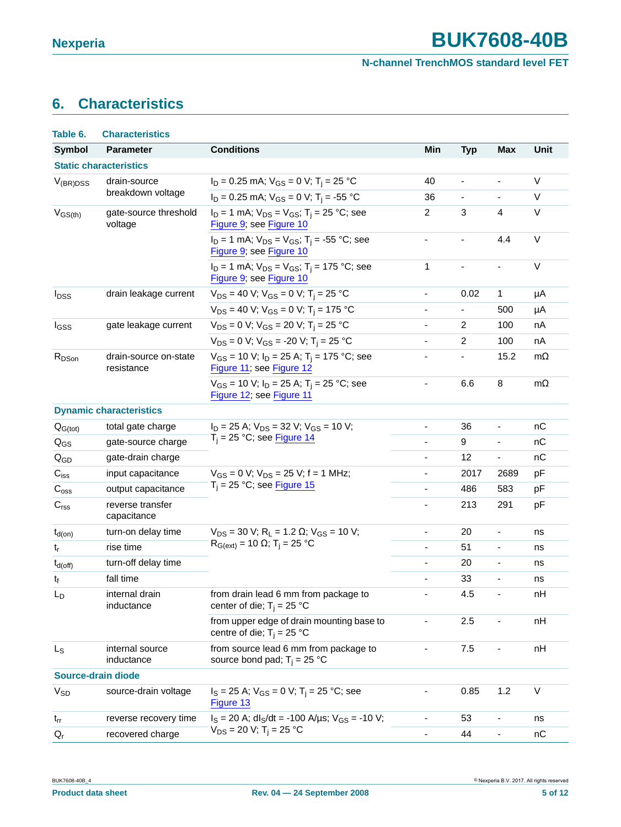# <span id="page-4-0"></span>**6. Characteristics**

| Table 6.                                                 | <b>Characteristics</b>           |                                                                                           |                              |                          |                              |             |
|----------------------------------------------------------|----------------------------------|-------------------------------------------------------------------------------------------|------------------------------|--------------------------|------------------------------|-------------|
| <b>Symbol</b>                                            | <b>Parameter</b>                 | <b>Conditions</b>                                                                         | Min                          | <b>Typ</b>               | <b>Max</b>                   | <b>Unit</b> |
|                                                          | <b>Static characteristics</b>    |                                                                                           |                              |                          |                              |             |
| $V_{(BR)DSS}$                                            | drain-source                     | $I_D = 0.25$ mA; $V_{GS} = 0$ V; T <sub>i</sub> = 25 °C                                   | 40                           | $\overline{\phantom{0}}$ | ÷                            | V           |
|                                                          | breakdown voltage                | $I_D = 0.25$ mA; $V_{GS} = 0$ V; T <sub>i</sub> = -55 °C                                  | 36                           | $\frac{1}{2}$            | $\overline{\phantom{m}}$     | V           |
| $V_{GS(th)}$                                             | gate-source threshold<br>voltage | $I_D = 1$ mA; $V_{DS} = V_{GS}$ ; T <sub>i</sub> = 25 °C; see<br>Figure 9; see Figure 10  | $\overline{2}$               | 3                        | 4                            | $\vee$      |
|                                                          |                                  | $I_D = 1$ mA; $V_{DS} = V_{GS}$ ; T <sub>i</sub> = -55 °C; see<br>Figure 9; see Figure 10 | $\frac{1}{2}$                |                          | 4.4                          | $\vee$      |
|                                                          |                                  | $I_D = 1$ mA; $V_{DS} = V_{GS}$ ; T <sub>i</sub> = 175 °C; see<br>Figure 9, see Figure 10 | 1                            | $\overline{\phantom{a}}$ | $\blacksquare$               | $\vee$      |
| $I_{DSS}$                                                | drain leakage current            | $V_{DS}$ = 40 V; $V_{GS}$ = 0 V; T <sub>i</sub> = 25 °C                                   | $\overline{\phantom{a}}$     | 0.02                     | 1                            | μA          |
|                                                          |                                  | $V_{DS}$ = 40 V; V <sub>GS</sub> = 0 V; T <sub>i</sub> = 175 °C                           | $\qquad \qquad \blacksquare$ | $\blacksquare$           | 500                          | μA          |
| I <sub>GSS</sub>                                         | gate leakage current             | $V_{DS} = 0$ V; $V_{GS} = 20$ V; T <sub>i</sub> = 25 °C                                   |                              | $\overline{2}$           | 100                          | nA          |
|                                                          |                                  | $V_{DS} = 0$ V; $V_{GS} = -20$ V; T <sub>i</sub> = 25 °C                                  | $\overline{\phantom{0}}$     | 2                        | 100                          | nA          |
| R <sub>DSon</sub><br>drain-source on-state<br>resistance |                                  | $V_{GS}$ = 10 V; $I_D$ = 25 A; T <sub>i</sub> = 175 °C; see<br>Figure 11; see Figure 12   | -                            |                          | 15.2                         | $m\Omega$   |
|                                                          |                                  | $V_{GS}$ = 10 V; $I_D$ = 25 A; T <sub>i</sub> = 25 °C; see<br>Figure 12; see Figure 11    | $\qquad \qquad \blacksquare$ | 6.6                      | 8                            | $m\Omega$   |
|                                                          | <b>Dynamic characteristics</b>   |                                                                                           |                              |                          |                              |             |
| $Q_{G(tot)}$                                             | total gate charge                | $I_D = 25$ A; $V_{DS} = 32$ V; $V_{GS} = 10$ V;                                           | -                            | 36                       | $\overline{\phantom{0}}$     | nС          |
| $Q_{GS}$                                                 | gate-source charge               | $T_i = 25$ °C; see Figure 14                                                              |                              | 9                        | $\blacksquare$               | nC          |
| $Q_{GD}$                                                 | gate-drain charge                |                                                                                           | -                            | 12                       | $\overline{\phantom{0}}$     | пC          |
| $C_{iss}$                                                | input capacitance                | $V_{GS} = 0$ V; $V_{DS} = 25$ V; f = 1 MHz;                                               | $\qquad \qquad \blacksquare$ | 2017                     | 2689                         | pF          |
| C <sub>oss</sub>                                         | output capacitance               | $T_i$ = 25 °C; see Figure 15                                                              | $\overline{\phantom{0}}$     | 486                      | 583                          | pF          |
| C <sub>rss</sub>                                         | reverse transfer<br>capacitance  |                                                                                           | $\overline{\phantom{0}}$     | 213                      | 291                          | pF          |
| $t_{d(on)}$                                              | turn-on delay time               | $V_{DS}$ = 30 V; R <sub>L</sub> = 1.2 $\Omega$ ; V <sub>GS</sub> = 10 V;                  | $\overline{\phantom{0}}$     | 20                       | $\overline{\phantom{0}}$     | ns          |
| $\mathfrak{t}_{\rm r}$                                   | rise time                        | $R_{G(ext)} = 10$ Ω; T <sub>i</sub> = 25 °C                                               | $\qquad \qquad \blacksquare$ | 51                       | $\qquad \qquad \blacksquare$ | ns          |
| $t_{d(off)}$                                             | turn-off delay time              |                                                                                           |                              | 20                       | ٠                            | ns          |
| $t_{\mathsf{f}}$                                         | fall time                        |                                                                                           |                              | 33                       | $\overline{\phantom{0}}$     | ns          |
| $\mathsf{L}_\mathsf{D}$                                  | internal drain<br>inductance     | from drain lead 6 mm from package to<br>center of die; $T_i = 25$ °C                      |                              | 4.5                      | ÷                            | nH          |
|                                                          |                                  | from upper edge of drain mounting base to<br>centre of die; $T_i = 25 °C$                 |                              | 2.5                      |                              | nH          |
| L <sub>S</sub>                                           | internal source<br>inductance    | from source lead 6 mm from package to<br>source bond pad; $T_i = 25$ °C                   | -                            | 7.5                      | ٠                            | nH          |
|                                                          | Source-drain diode               |                                                                                           |                              |                          |                              |             |
| $V_{SD}$                                                 | source-drain voltage             | $I_S = 25$ A; $V_{GS} = 0$ V; T <sub>i</sub> = 25 °C; see<br>Figure 13                    |                              | 0.85                     | 1.2                          | V           |
| $t_{rr}$                                                 | reverse recovery time            | $I_S = 20$ A; dl <sub>S</sub> /dt = -100 A/µs; V <sub>GS</sub> = -10 V;                   |                              | 53                       |                              | ns          |
| $Q_{r}$                                                  | recovered charge                 | $V_{DS}$ = 20 V; T <sub>i</sub> = 25 °C                                                   | ٠                            | 44                       |                              | nC          |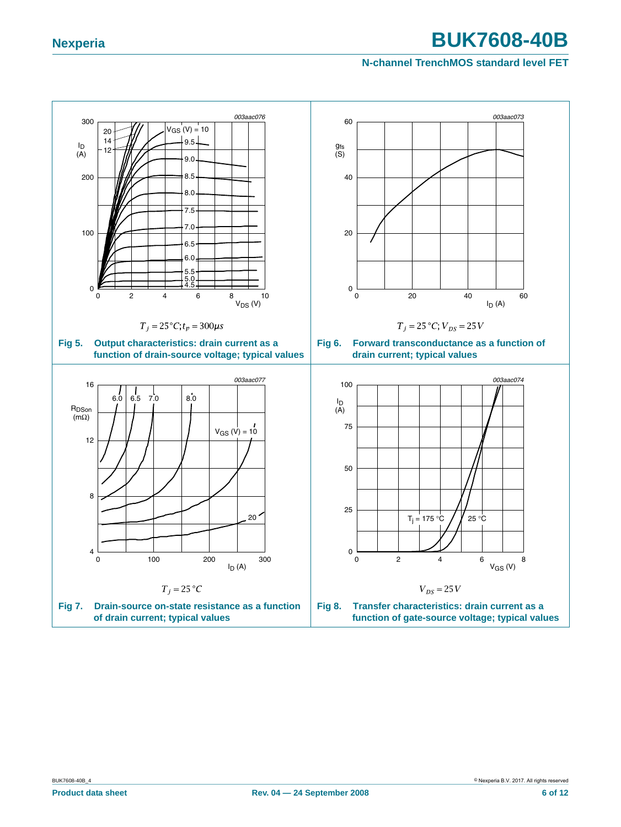### **N-channel TrenchMOS standard level FET**

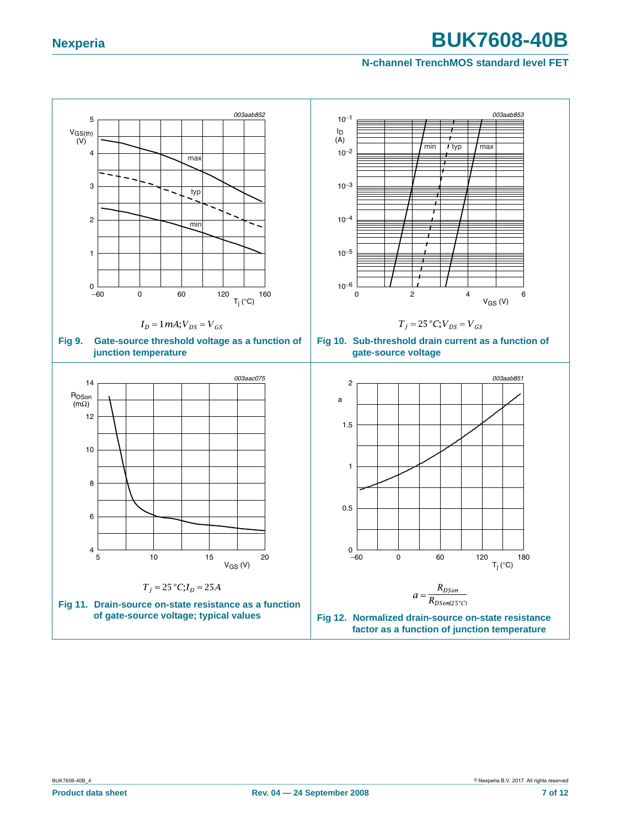### <span id="page-6-3"></span><span id="page-6-0"></span>**N-channel TrenchMOS standard level FET**

<span id="page-6-2"></span><span id="page-6-1"></span>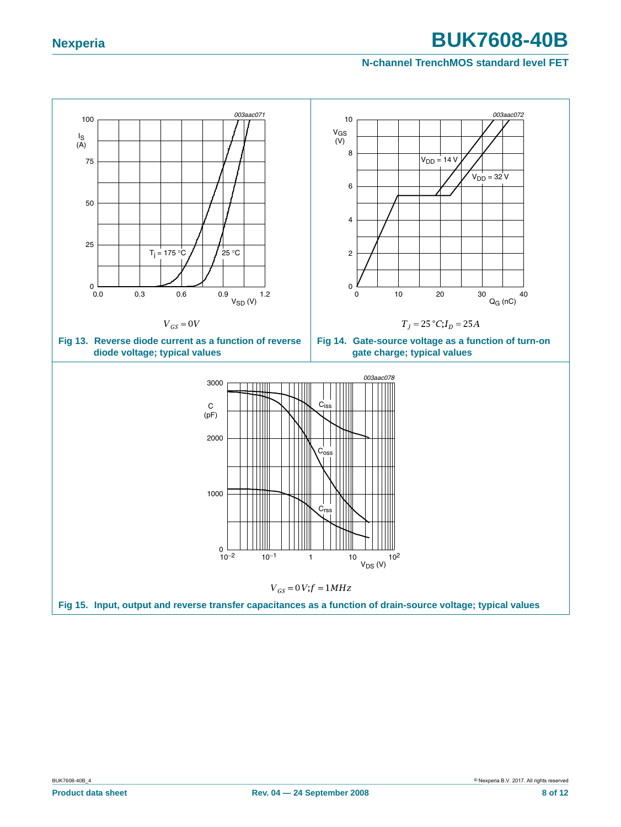### <span id="page-7-0"></span>**N-channel TrenchMOS standard level FET**

<span id="page-7-2"></span><span id="page-7-1"></span>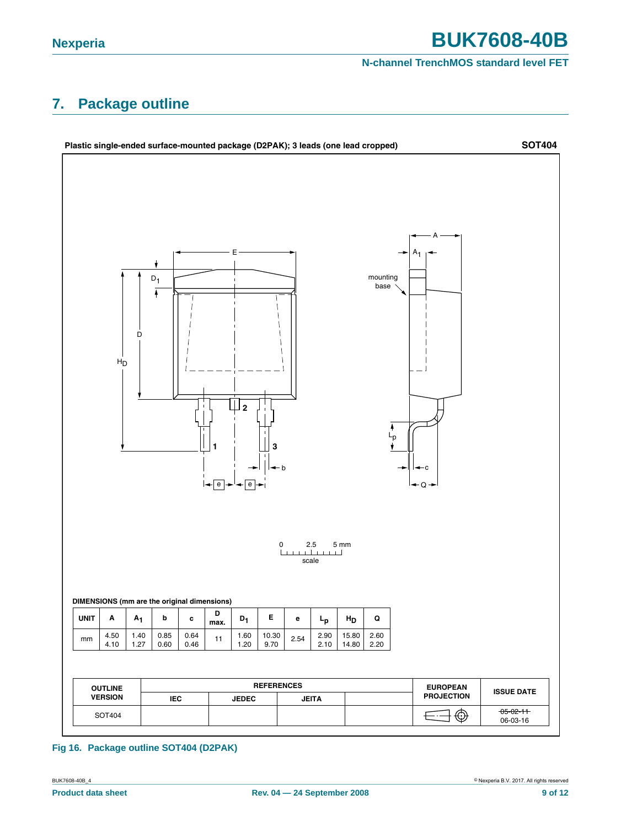### **N-channel TrenchMOS standard level FET**

# <span id="page-8-0"></span>**7. Package outline**



### **Fig 16. Package outline SOT404 (D2PAK)**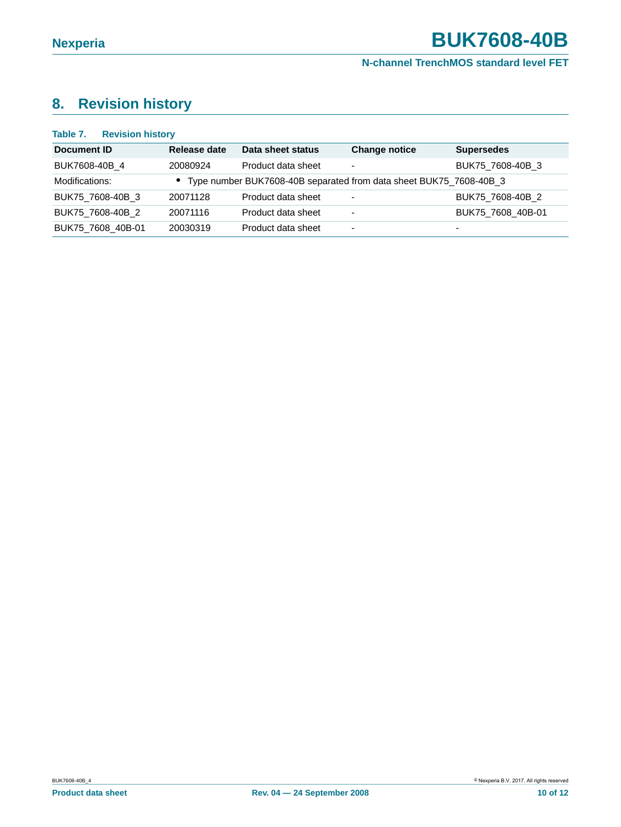# <span id="page-9-0"></span>**8. Revision history**

### **Table 7. Revision history**

| Document ID       | Release date | Data sheet status                                                    | <b>Change notice</b>     | <b>Supersedes</b>        |
|-------------------|--------------|----------------------------------------------------------------------|--------------------------|--------------------------|
| BUK7608-40B_4     | 20080924     | Product data sheet                                                   | $\overline{\phantom{a}}$ | BUK75 7608-40B 3         |
| Modifications:    |              | • Type number BUK7608-40B separated from data sheet BUK75_7608-40B_3 |                          |                          |
| BUK75_7608-40B_3  | 20071128     | Product data sheet                                                   | $\overline{\phantom{0}}$ | BUK75 7608-40B 2         |
| BUK75 7608-40B 2  | 20071116     | Product data sheet                                                   | $\overline{\phantom{0}}$ | BUK75 7608 40B-01        |
| BUK75 7608 40B-01 | 20030319     | Product data sheet                                                   | $\overline{\phantom{0}}$ | $\overline{\phantom{0}}$ |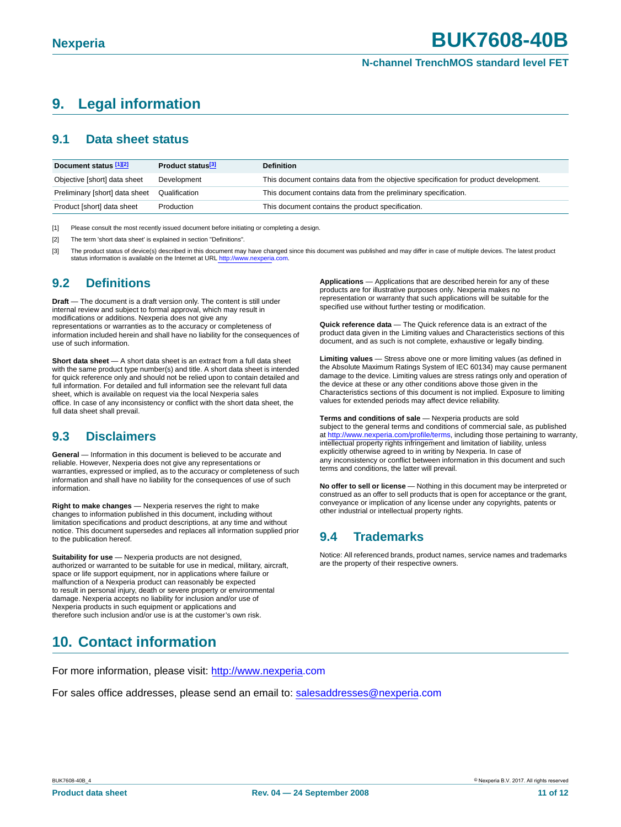# <span id="page-10-3"></span>**9. Legal information**

# <span id="page-10-4"></span>**9.1 Data sheet status**

| Document status [1][2]         | Product status <sup>[3]</sup> | <b>Definition</b>                                                                     |
|--------------------------------|-------------------------------|---------------------------------------------------------------------------------------|
| Objective [short] data sheet   | Development                   | This document contains data from the objective specification for product development. |
| Preliminary [short] data sheet | Qualification                 | This document contains data from the preliminary specification.                       |
| Product [short] data sheet     | Production                    | This document contains the product specification.                                     |

<span id="page-10-0"></span>[1] Please consult the most recently issued document before initiating or completing a design.

<span id="page-10-1"></span>[2] The term 'short data sheet' is explained in section "Definitions".

<span id="page-10-2"></span>[3] The product status of device(s) described in this document may have changed since this document was published and may differ in case of multiple devices. The latest product status information is available on the Internet at URL http://www.nexperia.com

# <span id="page-10-5"></span>**9.2 Definitions**

**Draft** — The document is a draft version only. The content is still under internal review and subject to formal approval, which may result in modifications or additions. Nexperia does not give any representations or warranties as to the accuracy or completeness of information included herein and shall have no liability for the consequences of use of such information.

**Short data sheet** — A short data sheet is an extract from a full data sheet with the same product type number(s) and title. A short data sheet is intended for quick reference only and should not be relied upon to contain detailed and full information. For detailed and full information see the relevant full data sheet, which is available on request via the local Nexperia sales office. In case of any inconsistency or conflict with the short data sheet, the full data sheet shall prevail.

# <span id="page-10-6"></span>**9.3 Disclaimers**

**General** — Information in this document is believed to be accurate and reliable. However, Nexperia does not give any representations or warranties, expressed or implied, as to the accuracy or completeness of such information and shall have no liability for the consequences of use of such information.

**Right to make changes** — Nexperia reserves the right to make changes to information published in this document, including without limitation specifications and product descriptions, at any time and without notice. This document supersedes and replaces all information supplied prior to the publication hereof.

**Suitability for use** — Nexperia products are not designed, authorized or warranted to be suitable for use in medical, military, aircraft, space or life support equipment, nor in applications where failure or malfunction of a Nexperia product can reasonably be expected to result in personal injury, death or severe property or environmental damage. Nexperia accepts no liability for inclusion and/or use of Nexperia products in such equipment or applications and therefore such inclusion and/or use is at the customer's own risk.

# <span id="page-10-8"></span>**10. Contact information**

For more information, please visit: http://www.nexperia.com

For sales office addresses, please send an email to: salesaddresses@nexperia.com

**Applications** — Applications that are described herein for any of these products are for illustrative purposes only. Nexperia makes no representation or warranty that such applications will be suitable for the specified use without further testing or modification.

**Quick reference data** — The Quick reference data is an extract of the product data given in the Limiting values and Characteristics sections of this document, and as such is not complete, exhaustive or legally binding.

**Limiting values** — Stress above one or more limiting values (as defined in the Absolute Maximum Ratings System of IEC 60134) may cause permanent damage to the device. Limiting values are stress ratings only and operation of the device at these or any other conditions above those given in the Characteristics sections of this document is not implied. Exposure to limiting values for extended periods may affect device reliability.

Terms and conditions of sale - Nexperia products are sold subject to the general terms and conditions of commercial sale, as published at http://www.nexperia.com/profile/terms, including those pertaining to warranty, intellectual property rights infringement and limitation of liability, unless explicitly otherwise agreed to in writing by Nexperia. In case of any inconsistency or conflict between information in this document and such terms and conditions, the latter will prevail.

**No offer to sell or license** — Nothing in this document may be interpreted or construed as an offer to sell products that is open for acceptance or the grant, conveyance or implication of any license under any copyrights, patents or other industrial or intellectual property rights.

# <span id="page-10-7"></span>**9.4 Trademarks**

Notice: All referenced brands, product names, service names and trademarks are the property of their respective owners.